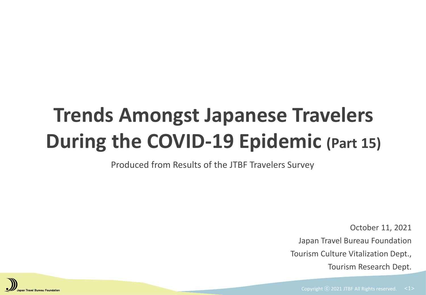# **Trends Amongst Japanese Travelers During the COVID-19 Epidemic (Part 15)**

Produced from Results of the JTBF Travelers Survey

October 11, 2021 Japan Travel Bureau Foundation Tourism Culture Vitalization Dept., Tourism Research Dept.

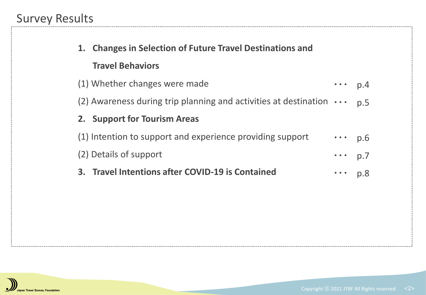| 1. Changes in Selection of Future Travel Destinations and                 |                                                                          |     |
|---------------------------------------------------------------------------|--------------------------------------------------------------------------|-----|
| <b>Travel Behaviors</b>                                                   |                                                                          |     |
| (1) Whether changes were made                                             | $\cdots$ p.4                                                             |     |
| (2) Awareness during trip planning and activities at destination $\cdots$ |                                                                          | p.5 |
| 2. Support for Tourism Areas                                              |                                                                          |     |
| (1) Intention to support and experience providing support                 | $\cdots$ p.6                                                             |     |
| (2) Details of support                                                    | $\cdots$ p.7                                                             |     |
| 3. Travel Intentions after COVID-19 is Contained                          | $\begin{array}{ccccc} \bullet & \bullet & \bullet & \bullet \end{array}$ | p.8 |

**Contract Contract** 

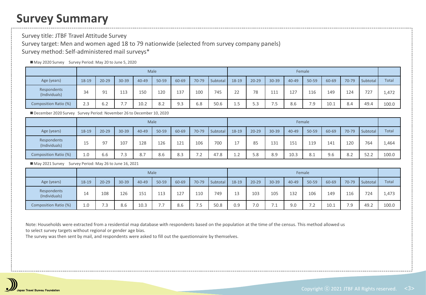## **Survey Summary**

Survey title: JTBF Travel Attitude Survey Survey target: Men and women aged 18 to 79 nationwide (selected from survey company panels) Survey method: Self-administered mail surveys\*

#### ■ May 2020 Survey Survey Period: May 20 to June 5, 2020

|                              |       |                      |          |           | <b>Male</b> |       |       |          | Female              |           |            |           |           |       |       |          |              |
|------------------------------|-------|----------------------|----------|-----------|-------------|-------|-------|----------|---------------------|-----------|------------|-----------|-----------|-------|-------|----------|--------------|
| Age (years)                  | 18-19 | $20 - 29$            | 30-39    | $40 - 49$ | 50-59       | 60-69 | 70-79 | Subtotal | 18-19               | $20 - 29$ | $30 - 39$  | $40 - 49$ | $50 - 59$ | 60-69 | 70-79 | Subtotal | <b>Total</b> |
| Respondents<br>(Individuals) | 34    | 91                   | 113      | 150       | 120         | 137   | 100   | 745      | $\mathcal{L}$<br>22 | 78        | 111        | 127       | 116       | 149   | 124   | 727      | 1,472        |
| Composition Ratio (%)        | 2.3   | $\sim$ $\sim$<br>6.2 | -<br>. . | 10.2      | 8.2         | 9.3   | 6.8   | 50.6     | 1.5                 | 5.3       | フロ<br>ر. . | 8.6       | 7.9       | 10.1  | 8.4   | 49.4     | 100.0        |

■ December 2020 Survey Survey Period: November 26 to December 10, 2020

|                              |       |                      |                     |                       | Male  |       |                                     |          | Female         |           |           |           |       |       |       |          |       |
|------------------------------|-------|----------------------|---------------------|-----------------------|-------|-------|-------------------------------------|----------|----------------|-----------|-----------|-----------|-------|-------|-------|----------|-------|
| Age (years)                  | 18-19 | $20 - 29$            | $30 - 39$           | $40 - 49$             | 50-59 | 60-69 | 70-79                               | Subtotal | 18-19          | $20 - 29$ | $30 - 39$ | $40 - 49$ | 50-59 | 60-69 | 70-79 | Subtotal | Total |
| Respondents<br>(Individuals) | 15    | Q <sub>0</sub>       | 107                 | 128                   | 126   | 121   | 106                                 | 700      | $\overline{A}$ | 85        | 131       | 151       | 119   | 141   | 120   | 764      | 1,464 |
| Composition Ratio (%)        | 1.0   | $\sim$ $\sim$<br>b.b | $\sim$ $\sim$<br>ن. | O <sub>7</sub><br>Ō., | 8.6   | 8.3   | $\sim$ $\sim$<br>$\cdot$ . 4 $\sim$ | 47.8     | ຳ<br>⊥.∠       | 5.8       | 8.9       | 10.3      | 8.1   | 9.6   | 8.2   | 52.2     | 100.0 |

■ May 2021 Survey Survey Period: May 26 to June 16, 2021

|                              |         |           |       |           | Male          |       |                                                  |          | Female |           |           |       |                     |       |       |          |              |
|------------------------------|---------|-----------|-------|-----------|---------------|-------|--------------------------------------------------|----------|--------|-----------|-----------|-------|---------------------|-------|-------|----------|--------------|
| Age (years)                  | 18-19   | $20 - 29$ | 30-39 | $40 - 49$ | 50-59         | 60-69 | 70-79                                            | Subtotal | 18-19  | $20 - 29$ | $30 - 39$ | 40-49 | 50-59               | 60-69 | 70-79 | Subtotal | <b>Total</b> |
| Respondents<br>(Individuals) | 14      | 108       | 126   | 151       | 113           | 127   | 110                                              | 749      | 13     | 103       | 105       | 132   | 106                 | 149   | 116   | 724      | 1,473        |
| Composition Ratio (%)        | $1.0\,$ | 7.3       | 8.6   | 10.3      | $-1$<br>, , , | 8.6   | $\overline{\phantom{0}}$<br>$\cdot$ $\check{\,}$ | 50.8     | 0.9    | 7.0       | -         | 9.0   | 7 <sub>2</sub><br>. | 10.1  | 7.9   | 49.2     | 100.0        |

Note: Households were extracted from a residential map database with respondents based on the population at the time of the census. This method allowed us to select survey targets without regional or gender age bias.

The survey was then sent by mail, and respondents were asked to fill out the questionnaire by themselves.

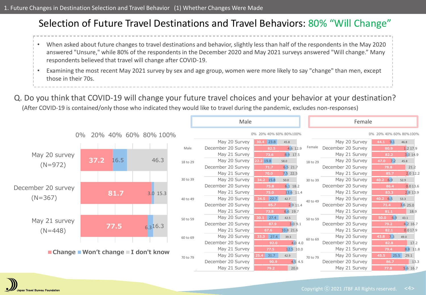### Selection of Future Travel Destinations and Travel Behaviors: 80% "Will Change"

- When asked about future changes to travel destinations and behavior, slightly less than half of the respondents in the May 2020 answered "Unsure," while 80% of the respondents in the December 2020 and May 2021 surveys answered "Will change." Many respondents believed that travel will change after COVID-19.
- Examining the most recent May 2021 survey by sex and age group, women were more likely to say "change" than men, except those in their 70s.

### Q. Do you think that COVID-19 will change your future travel choices and your behavior at your destination?

(After COVID-19 is contained/only those who indicated they would like to travel during the pandemic, excludes non-responses)



an Travel Bureau Foundation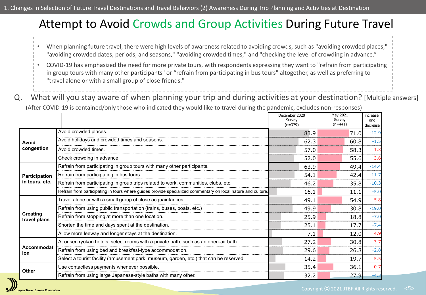## Attempt to Avoid Crowds and Group Activities During Future Travel

- When planning future travel, there were high levels of awareness related to avoiding crowds, such as "avoiding crowded places," "avoiding crowded dates, periods, and seasons," "avoiding crowded times," and "checking the level of crowding in advance."
- COVID-19 has emphasized the need for more private tours, with respondents expressing they want to "refrain from participating in group tours with many other participants" or "refrain from participating in bus tours" altogether, as well as preferring to "travel alone or with a small group of close friends."
- 
- Q. What will you stay aware of when planning your trip and during activities at your destination? [Multiple answers]

(After COVID-19 is contained/only those who indicated they would like to travel during the pandemic, excludes non-responses)

|                                 |                                                                                                              | December 2020<br>Survey<br>$(n=379)$ | May 2021<br>Survey<br>$(n=441)$ | increase<br>and<br>decrease |
|---------------------------------|--------------------------------------------------------------------------------------------------------------|--------------------------------------|---------------------------------|-----------------------------|
|                                 | Avoid crowded places.                                                                                        | 83.9                                 | 71.0                            | $-12.9$                     |
| Avoid                           | Avoid holidays and crowded times and seasons.                                                                | 62.3                                 | 60.8                            | $-1.5$                      |
| congestion                      | Avoid crowded times.                                                                                         | 57.0                                 | 58.3                            | 1.3                         |
|                                 | Check crowding in advance.                                                                                   | 52.0                                 | 55.6                            | 3.6                         |
|                                 | Refrain from participating in group tours with many other participants.                                      | 63.9                                 | 49.4                            | $-14.4$                     |
| Participation                   | Refrain from participating in bus tours.                                                                     | 54.1                                 | 42.4                            | $-11.7$                     |
| in tours, etc.                  | Refrain from participating in group trips related to work, communities, clubs, etc.                          | 46.2                                 | 35.8                            | $-10.3$                     |
|                                 | Refrain from participating in tours where guides provide specialized commentary on local nature and culture. | 16.1                                 | 11.1                            | $-5.0$                      |
|                                 | Travel alone or with a small group of close acquaintances.                                                   | 49.1                                 | 54.9                            | 5.8                         |
|                                 | Refrain from using public transportation (trains, buses, boats, etc.)                                        | 49.9                                 | 30.8                            | $-19.0$                     |
| <b>Creating</b><br>travel plans | Refrain from stopping at more than one location.                                                             | 25.9                                 | 18.8                            | $-7.0$                      |
|                                 | Shorten the time and days spent at the destination.                                                          | 25.1                                 | 17.7                            | $-7.4$                      |
|                                 | Allow more leeway and longer stays at the destination.                                                       | 7.1                                  | 12.0                            | 4.9                         |
|                                 | At onsen ryokan hotels, select rooms with a private bath, such as an open-air bath.                          | 27.2                                 | 30.8                            | 3.7                         |
| Accommodat<br>ion               | Refrain from using bed and breakfast-type accommodation.                                                     | 29.6                                 | 26.8                            | $-2.8$                      |
|                                 | Select a tourist facility (amusement park, museum, garden, etc.) that can be reserved.                       | 14.2                                 | 19.7                            | 5.5                         |
| <b>Other</b>                    | Use contactless payments whenever possible.                                                                  | 35.4                                 | 36.1                            | 0.7                         |
|                                 | Refrain from using large Japanese-style baths with many other.                                               | 32.2                                 | 27.9                            | $-4.3$                      |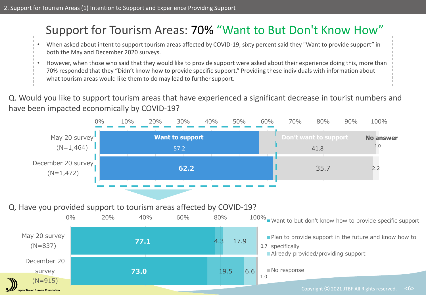# Support for Tourism Areas: 70% "Want to But Don't Know How"

- When asked about intent to support tourism areas affected by COVID-19, sixty percent said they "Want to provide support" in both the May and December 2020 surveys.
- However, when those who said that they would like to provide support were asked about their experience doing this, more than 70% responded that they "Didn't know how to provide specific support." Providing these individuals with information about what tourism areas would like them to do may lead to further support.
- Q. Would you like to support tourism areas that have experienced a significant decrease in tourist numbers and have been impacted economically by COVID-19?



#### Q. Have you provided support to tourism areas affected by COVID-19?

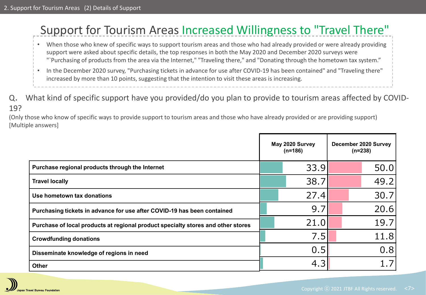# Support for Tourism Areas Increased Willingness to "Travel There"

- When those who knew of specific ways to support tourism areas and those who had already provided or were already providing support were asked about specific details, the top responses in both the May 2020 and December 2020 surveys were "`Purchasing of products from the area via the Internet," "Traveling there," and "Donating through the hometown tax system."
- In the December 2020 survey, "Purchasing tickets in advance for use after COVID-19 has been contained" and "Traveling there" increased by more than 10 points, suggesting that the intention to visit these areas is increasing.
- Q. What kind of specific support have you provided/do you plan to provide to tourism areas affected by COVID-19?

(Only those who know of specific ways to provide support to tourism areas and those who have already provided or are providing support) [Multiple answers]

|                                                                                  | May 2020 Survey<br>$(n=186)$ | December 2020 Survey<br>$(n=238)$ |
|----------------------------------------------------------------------------------|------------------------------|-----------------------------------|
| Purchase regional products through the Internet                                  | 33.9                         | 50.0                              |
| <b>Travel locally</b>                                                            | 38.7                         | 49.2                              |
| Use hometown tax donations                                                       | 27.4                         | 30.7                              |
| Purchasing tickets in advance for use after COVID-19 has been contained          | 9.7                          | 20.6                              |
| Purchase of local products at regional product specialty stores and other stores | 21.0                         | 19.7                              |
| <b>Crowdfunding donations</b>                                                    | 7.5                          | 11.8                              |
| Disseminate knowledge of regions in need                                         | 0.5                          | 0.8                               |
| <b>Other</b>                                                                     | 4.3                          |                                   |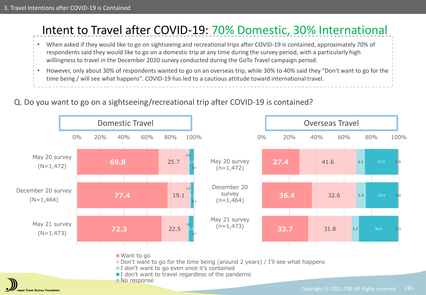

#### Q. Do you want to go on a sightseeing/recreational trip after COVID-19 is contained?

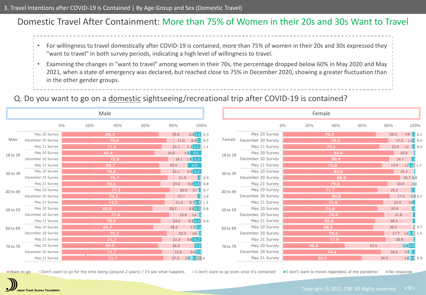### Domestic Travel After Containment: More than 75% of Women in their 20s and 30s Want to Travel

- For willingness to travel domestically after COVID-19 is contained, more than 75% of women in their 20s and 30s expressed they "want to travel" in both survey periods, indicating a high level of willingness to travel.
- Examining the changes in "want to travel" among women in their 70s, the percentage dropped below 60% in May 2020 and May 2021, when a state of emergency was declared, but reached close to 75% in December 2020, showing a greater fluctuation than in the other gender groups.

#### Q. Do you want to go on a domestic sightseeing/recreational trip after COVID-19 is contained?

|          |                    | Male       |     |      |                      |       |          |                           |    | Female |      |     |      |      |                  |  |
|----------|--------------------|------------|-----|------|----------------------|-------|----------|---------------------------|----|--------|------|-----|------|------|------------------|--|
|          | $0\%$              | 20%<br>40% | 60% | 80%  |                      | 100%  |          |                           | 0% | 20%    | 40%  | 60% |      | 80%  | 100%             |  |
|          | May 20 Survey      | 69.3       |     | 25.0 | 0.94.600.3           |       |          | May 20 Survey             |    |        | 70.3 |     |      | 26.5 | $0.8\,2.2\,0.1$  |  |
| Male     | December 20 Survey | 75.0       |     | 21.0 | $0.92.9$ 0.3         |       |          | Female December 20 Survey |    |        | 79.6 |     |      | 17.3 | $1.2 \cdot 0.4$  |  |
|          | May 21 Survey      | 71.6       |     | 21.1 | $1.1$ 5.2 1.1        |       |          | May 21 Survey             |    |        | 73.1 |     |      | 23.9 | $1.0$ 1.7 0.4    |  |
| 18 to 29 | May 20 Survey      | 66.4       |     | 24.0 | $1.6 \ 8.0$          |       | 18 to 29 | May 20 Survey             |    |        | 84.0 |     |      |      | 15.0             |  |
|          | December 20 Survey | 75.9       |     |      | $16.1$ $1.8$ 6.3     |       |          | December 20 Survey        |    |        | 80.4 |     |      | 16.7 | 2.9              |  |
|          | May 21 Survey      | 69.7       |     | 20.5 | 9.8                  |       |          | May 21 Survey             |    |        | 75.0 |     |      | 19.0 | $1.72.6$ 1.7     |  |
| 30 to 39 | May 20 Survey      | 70.8       |     | 22.1 | 0.962                |       | 30 to 39 | May 20 Survey             |    |        | 83.8 |     |      |      | 15.3             |  |
|          | December 20 Survey | 75.7       |     | 21.5 |                      | .90.9 |          | December 20 Survey        |    |        | 88.5 |     |      |      | 10.70.8          |  |
|          | May 21 Survey      | 70.6       |     | 23.0 | $0.84.8$ 0.8         |       |          | May 21 Survey             |    |        | 79.0 |     |      | 20.0 | 1.0              |  |
| 40 to 49 | May 20 Survey      | 77.3       |     |      | 20.0<br>$0.71.5$ 0.7 |       | 40 to 49 | May 20 Survey             |    |        | 71.7 |     |      | 25.2 |                  |  |
|          | December 20 Survey | 74.2       |     | 22.7 |                      | 0.8   |          | December 20 Survey        |    |        | 80.8 |     |      | 17.2 | 1.30.7           |  |
|          | May 21 Survey      | 73.5       |     | 21.2 | $0.73.3$ 1.3         |       |          | May 21 Survey             |    |        | 75.8 |     |      | 22.0 | $0.8 -$          |  |
| 50 to 59 | May 20 Survey      | 65.0       |     | 29.2 | $0.84.2$ 0.8         |       | 50 to 59 | May 20 Survey             |    |        | 71.6 |     |      | 25.9 |                  |  |
|          | December 20 Survey | 77.0       |     |      | 1.616<br>19.8        |       |          | December 20 Survey        |    |        | 76.5 |     |      | 21.8 |                  |  |
|          | May 21 Survey      | 70.8       |     | 23.0 | $0.94.4$ 0.9         |       |          | May 21 Survey             |    |        | 69.8 |     |      | 28.3 |                  |  |
| 60 to 69 | May 20 Survey      | 65.7       |     | 29.2 | 1.5 3.6              |       | 60 to 69 | May 20 Survey             |    |        | 68.5 |     |      | 30.2 | $\downarrow 0.7$ |  |
|          | December 20 Survey | 75.2       |     | 22.3 | 0.817                |       |          | December 20 Survey        |    |        | 76.6 |     |      | 17.7 | $1.42.8$ 1.4     |  |
|          | May 21 Survey      | 71.7       |     | 21.3 | $0.8\,6.3$           |       |          | May 21 Survey             |    |        | 77.9 |     |      | 20.8 |                  |  |
| 70 to 79 | May 20 Survey      | 69.0       |     | 26.0 | 5.0                  |       | 70 to 79 | May 20 Survey             |    | 46.8   |      |     | 43.5 |      | 4.84.8           |  |
|          | December 20 Survey | 71.7       |     | 23.6 | 0.93.8               |       |          | December 20 Survey        |    |        | 74.2 |     |      | 20.0 | $3.3 \quad 2.1$  |  |
|          | May 21 Survey      | 72.7       |     | 17.3 | $3.6$ $2.7$ 3.6      |       |          | May 21 Survey             |    | 59.5   |      |     | 34.5 |      | 2.62.60.9        |  |

Want to go Don't want to go for the time being (around 2 years) / I'll see what happens I don't want to go even once it's contained I don't want to travel regardless of the pandemic I on esponse

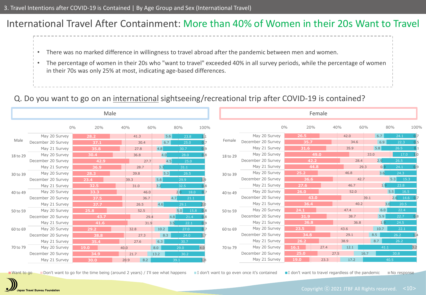### International Travel After Containment: More than 40% of Women in their 20s Want to Travel

- There was no marked difference in willingness to travel abroad after the pandemic between men and women.
- The percentage of women in their 20s who "want to travel" exceeded 40% in all survey periods, while the percentage of women in their 70s was only 25% at most, indicating age-based differences.

#### Q. Do you want to go on an international sightseeing/recreational trip after COVID-19 is contained?

|          |                    |              | Male |      |                  |             |      |          |                    |           | Female |      |             |                |      |
|----------|--------------------|--------------|------|------|------------------|-------------|------|----------|--------------------|-----------|--------|------|-------------|----------------|------|
|          |                    | $0\%$<br>20% | 40%  | 60%  |                  | 80%         | 100% |          |                    | 0%<br>20% |        | 40%  | 60%         | 80%            | 100% |
|          | May 20 Survey      | 28.2         |      | 41.3 | 5.6              | 23.8        |      |          | May 20 Survey      | 26.5      |        | 42.0 | 6.7         | 24.1           |      |
| Male     | December 20 Survey | 37.1         |      | 30.4 | 6.7              | 25.0        |      | Female   | December 20 Survey | 35.7      |        | 34.6 | 6.9         | 22.3           |      |
|          | May 21 Survey      | 35.8         |      | 27.8 | 4.8              | 30.7        | ว. 9 |          | May 21 Survey      | 31.6      |        | 35.9 | 5.8         | 26.5           |      |
| 18 to 29 | May 20 Survey      | 30.4         |      | 36.8 | 4.0              | 28.0        |      | 18 to 29 | May 20 Survey      |           | 49.0   |      | 33.0        | 17.0           | 1.0  |
|          | December 20 Survey | 42.9         |      | 27.7 | 4.5              | 25.0        |      |          | December 20 Survey |           | 42.2   | 28.4 | 2.9         | 26.5           |      |
|          | May 21 Survey      | 36.9         |      | 28.7 | 3.3 <sup>°</sup> | 31.1        |      |          | May 21 Survey      |           | 44.8   |      | 0.9<br>29.3 | 24.1           | 0.9  |
| 30 to 39 | May 20 Survey      | 28.3         |      | 39.8 | 5.3              | 26.5        |      | 30 to 39 | May 20 Survey      | 25.2      |        | 46.8 | 3.6         | 24.3           |      |
|          | December 20 Survey | 23.4         | 39.3 |      | 5.6              | 29.9        |      |          | December 20 Survey | 36.6      |        | 42.7 |             | 5.3<br>15.3    |      |
|          | May 21 Survey      | 32.5         |      | 31.0 | 3.2              | 32.5        |      |          | May 21 Survey      | 27.6      |        | 46.7 | 1.9         | 23.8           |      |
| 40 to 49 | May 20 Survey      | 33.3         |      | 46.0 |                  | 2.0<br>18.0 |      | 40 to 49 | May 20 Survey      | 26.0      |        | 52.0 |             | 5.5<br>16.5    |      |
|          | December 20 Survey | 37.5         |      | 36.7 | 4.7              | 21.1        |      |          | December 20 Survey |           | 43.0   |      | 39.1        | $2.6$ 14.6 0.7 |      |
|          | May 21 Survey      | 37.7         |      | 26.5 | 4.6              | 29.1        |      |          | May 21 Survey      | 36.4      |        | 40.2 |             | 3.0<br>20.5    |      |
| 50 to 59 | May 20 Survey      | 25.8         |      | 52.5 |                  | 5.0<br>15.8 | 0.8  | 50 to 59 | May 20 Survey      | 24.1      |        | 47.4 | 6.0         | 22.4           |      |
|          | December 20 Survey | 43.7         |      | 29.4 | 4.8              | 21.4        | 0.8  |          | December 20 Survey | 31.9      |        | 38.7 | 5.9         | 22.7           |      |
|          | May 21 Survey      | 41.6         |      | 31.9 | 3.5              | 22.1        | 0.9  |          | May 21 Survey      | 36.8      |        | 36.8 | 1.9         | 24.5           |      |
| 60 to 69 | May 20 Survey      | 29.2         |      | 32.8 | 10.2             | 27.0        |      | 60 to 69 | May 20 Survey      | 23.5      |        | 43.6 | 10.7        | 22.1           |      |
|          | December 20 Survey | 38.8         |      | 27.3 | 8.3              | 24.0        |      |          | December 20 Survey | 34.8      |        | 29.1 | 8.5         | 26.2           |      |
|          | May 21 Survey      | 35.4         |      | 27.6 | 6.3              | 30.7        |      |          | May 21 Survey      | 26.2      |        | 38.9 | 8.7         | 26.2           |      |
| 70 to 79 | May 20 Survey      | 19.0         | 40.0 |      | 8.0              | 29.0        | 4.0  | 70 to 79 | May 20 Survey      | 16.1      | 27.4   | 12.1 | 41.1        |                | 3.2  |
|          | December 20 Survey | 34.9         |      | 21.7 | $13.2$           | 30.2        |      |          | December 20 Survey | 25.0      | 27.5   |      | 16.7        | 30.8           |      |
|          | May 21 Survey      | 30.0         | 20.9 | 8.2  |                  | 39.1        |      |          | May 21 Survey      | 19.0      | 23.3   | 17.2 |             | 40.5           |      |

■Want to go Bon't want to go for the time being (around 2 years) / I'll see what happens I don't want to go even once it's contained I don't want to travel regardless of the pandemic I No response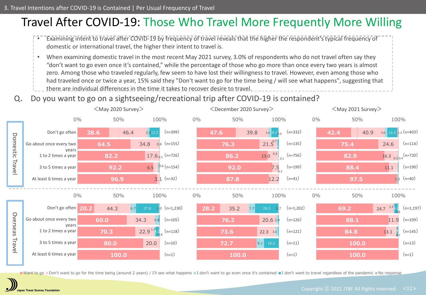# Travel After COVID-19: Those Who Travel More Frequently More Willing



• When examining domestic travel in the most recent May 2021 survey, 3.0% of respondents who do not travel often say they

- "don't want to go even once it's contained," while the percentage of those who go more than once every two years is almost
- zero. Among those who traveled regularly, few seem to have lost their willingness to travel. However, even among those who
- had traveled once or twice a year, 15% said they "Don't want to go for the time being / will see what happens", suggesting that
- there are individual differences in the time it takes to recover desire to travel.
- Q. Do you want to go on a sightseeing/recreational trip after COVID-19 is contained?



■Want to go ■Don't want to go for the time being (around 2 years) / I'll see what happens ■I don't want to go even once it's contained ■I don't want to travel regardless of the pandemic ■No response